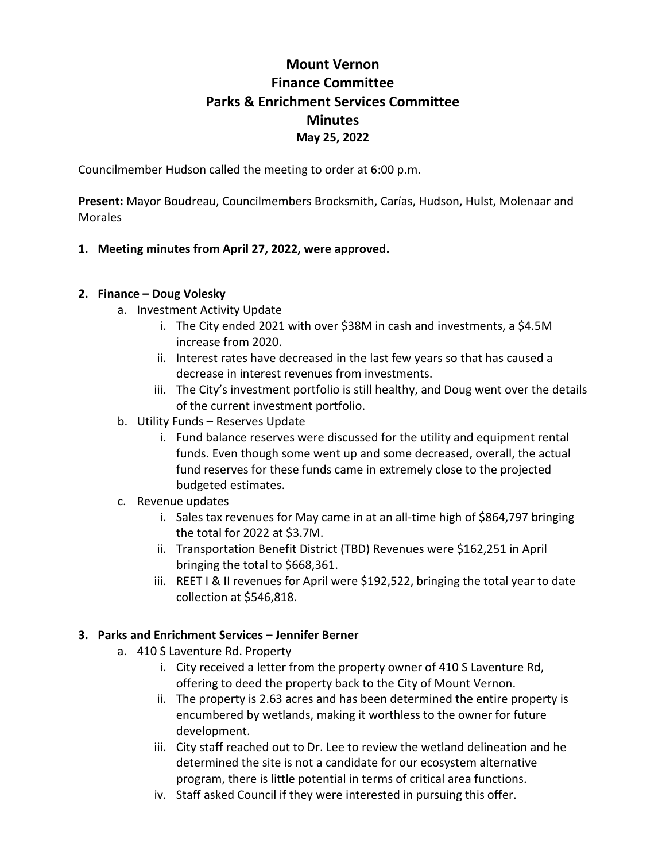# **Mount Vernon Finance Committee Parks & Enrichment Services Committee Minutes May 25, 2022**

Councilmember Hudson called the meeting to order at 6:00 p.m.

**Present:** Mayor Boudreau, Councilmembers Brocksmith, Carías, Hudson, Hulst, Molenaar and Morales

### **1. Meeting minutes from April 27, 2022, were approved.**

#### **2. Finance – Doug Volesky**

- a. Investment Activity Update
	- i. The City ended 2021 with over \$38M in cash and investments, a \$4.5M increase from 2020.
	- ii. Interest rates have decreased in the last few years so that has caused a decrease in interest revenues from investments.
	- iii. The City's investment portfolio is still healthy, and Doug went over the details of the current investment portfolio.
- b. Utility Funds Reserves Update
	- i. Fund balance reserves were discussed for the utility and equipment rental funds. Even though some went up and some decreased, overall, the actual fund reserves for these funds came in extremely close to the projected budgeted estimates.
- c. Revenue updates
	- i. Sales tax revenues for May came in at an all-time high of \$864,797 bringing the total for 2022 at \$3.7M.
	- ii. Transportation Benefit District (TBD) Revenues were \$162,251 in April bringing the total to \$668,361.
	- iii. REET I & II revenues for April were \$192,522, bringing the total year to date collection at \$546,818.

#### **3. Parks and Enrichment Services – Jennifer Berner**

- a. 410 S Laventure Rd. Property
	- i. City received a letter from the property owner of 410 S Laventure Rd, offering to deed the property back to the City of Mount Vernon.
	- ii. The property is 2.63 acres and has been determined the entire property is encumbered by wetlands, making it worthless to the owner for future development.
	- iii. City staff reached out to Dr. Lee to review the wetland delineation and he determined the site is not a candidate for our ecosystem alternative program, there is little potential in terms of critical area functions.
	- iv. Staff asked Council if they were interested in pursuing this offer.